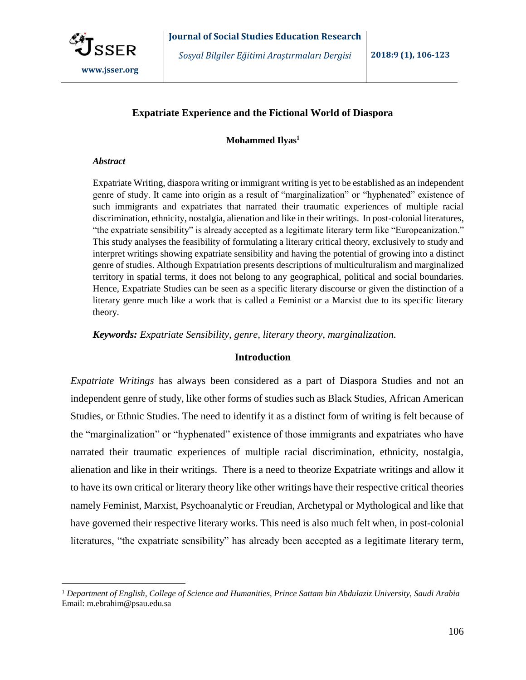

# **Expatriate Experience and the Fictional World of Diaspora**

**Mohammed Ilyas<sup>1</sup>**

#### *Abstract*

 $\overline{a}$ 

Expatriate Writing, diaspora writing or immigrant writing is yet to be established as an independent genre of study. It came into origin as a result of "marginalization" or "hyphenated" existence of such immigrants and expatriates that narrated their traumatic experiences of multiple racial discrimination, ethnicity, nostalgia, alienation and like in their writings. In post-colonial literatures, "the expatriate sensibility" is already accepted as a legitimate literary term like "Europeanization." This study analyses the feasibility of formulating a literary critical theory, exclusively to study and interpret writings showing expatriate sensibility and having the potential of growing into a distinct genre of studies. Although Expatriation presents descriptions of multiculturalism and marginalized territory in spatial terms, it does not belong to any geographical, political and social boundaries. Hence, Expatriate Studies can be seen as a specific literary discourse or given the distinction of a literary genre much like a work that is called a Feminist or a Marxist due to its specific literary theory.

*Keywords: Expatriate Sensibility, genre, literary theory, marginalization.*

# **Introduction**

*Expatriate Writings* has always been considered as a part of Diaspora Studies and not an independent genre of study, like other forms of studies such as Black Studies, African American Studies, or Ethnic Studies. The need to identify it as a distinct form of writing is felt because of the "marginalization" or "hyphenated" existence of those immigrants and expatriates who have narrated their traumatic experiences of multiple racial discrimination, ethnicity, nostalgia, alienation and like in their writings. There is a need to theorize Expatriate writings and allow it to have its own critical or literary theory like other writings have their respective critical theories namely Feminist, Marxist, Psychoanalytic or Freudian, Archetypal or Mythological and like that have governed their respective literary works. This need is also much felt when, in post-colonial literatures, "the expatriate sensibility" has already been accepted as a legitimate literary term,

<sup>1</sup> *Department of English, College of Science and Humanities, Prince Sattam bin Abdulaziz University, Saudi Arabia* Email: m.ebrahim@psau.edu.sa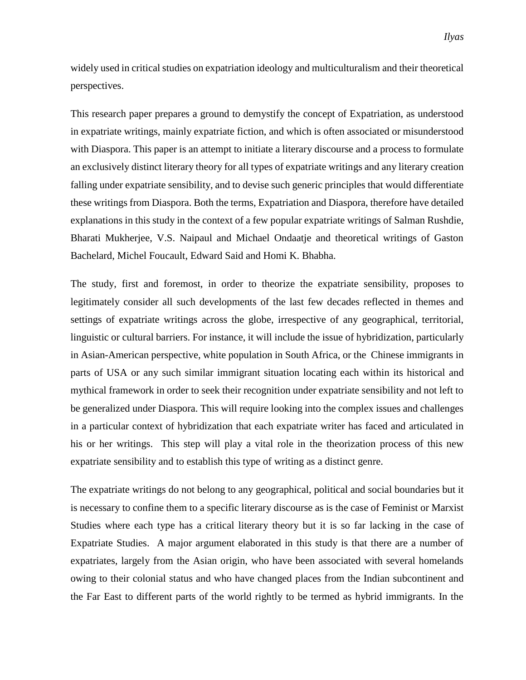*Ilyas*

widely used in critical studies on expatriation ideology and multiculturalism and their theoretical perspectives.

This research paper prepares a ground to demystify the concept of Expatriation, as understood in expatriate writings, mainly expatriate fiction, and which is often associated or misunderstood with Diaspora. This paper is an attempt to initiate a literary discourse and a process to formulate an exclusively distinct literary theory for all types of expatriate writings and any literary creation falling under expatriate sensibility, and to devise such generic principles that would differentiate these writings from Diaspora. Both the terms, Expatriation and Diaspora, therefore have detailed explanations in this study in the context of a few popular expatriate writings of Salman Rushdie, Bharati Mukherjee, V.S. Naipaul and Michael Ondaatje and theoretical writings of Gaston Bachelard, Michel Foucault, Edward Said and Homi K. Bhabha.

The study, first and foremost, in order to theorize the expatriate sensibility, proposes to legitimately consider all such developments of the last few decades reflected in themes and settings of expatriate writings across the globe, irrespective of any geographical, territorial, linguistic or cultural barriers. For instance, it will include the issue of hybridization, particularly in Asian-American perspective, white population in South Africa, or the Chinese immigrants in parts of USA or any such similar immigrant situation locating each within its historical and mythical framework in order to seek their recognition under expatriate sensibility and not left to be generalized under Diaspora. This will require looking into the complex issues and challenges in a particular context of hybridization that each expatriate writer has faced and articulated in his or her writings. This step will play a vital role in the theorization process of this new expatriate sensibility and to establish this type of writing as a distinct genre.

The expatriate writings do not belong to any geographical, political and social boundaries but it is necessary to confine them to a specific literary discourse as is the case of Feminist or Marxist Studies where each type has a critical literary theory but it is so far lacking in the case of Expatriate Studies. A major argument elaborated in this study is that there are a number of expatriates, largely from the Asian origin, who have been associated with several homelands owing to their colonial status and who have changed places from the Indian subcontinent and the Far East to different parts of the world rightly to be termed as hybrid immigrants. In the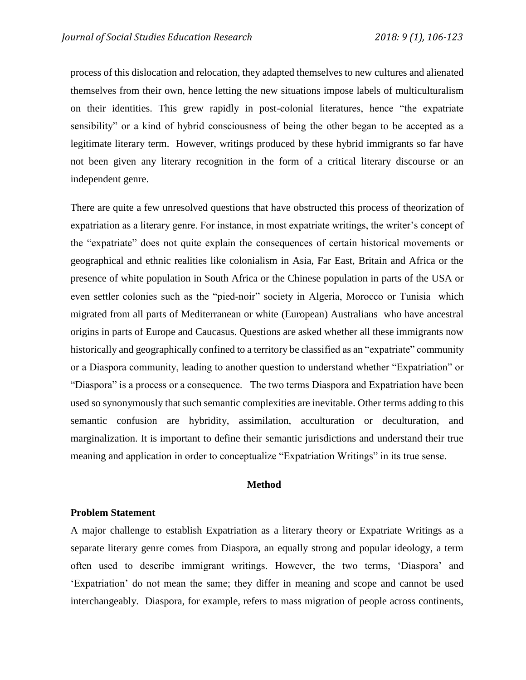process of this dislocation and relocation, they adapted themselves to new cultures and alienated themselves from their own, hence letting the new situations impose labels of multiculturalism on their identities. This grew rapidly in post-colonial literatures, hence "the expatriate sensibility" or a kind of hybrid consciousness of being the other began to be accepted as a legitimate literary term. However, writings produced by these hybrid immigrants so far have not been given any literary recognition in the form of a critical literary discourse or an independent genre.

There are quite a few unresolved questions that have obstructed this process of theorization of expatriation as a literary genre. For instance, in most expatriate writings, the writer's concept of the "expatriate" does not quite explain the consequences of certain historical movements or geographical and ethnic realities like colonialism in Asia, Far East, Britain and Africa or the presence of white population in South Africa or the Chinese population in parts of the USA or even settler colonies such as the "pied-noir" society in Algeria, Morocco or Tunisia which migrated from all parts of Mediterranean or white (European) Australians who have ancestral origins in parts of Europe and Caucasus. Questions are asked whether all these immigrants now historically and geographically confined to a territory be classified as an "expatriate" community or a Diaspora community, leading to another question to understand whether "Expatriation" or "Diaspora" is a process or a consequence. The two terms Diaspora and Expatriation have been used so synonymously that such semantic complexities are inevitable. Other terms adding to this semantic confusion are hybridity, assimilation, acculturation or deculturation, and marginalization. It is important to define their semantic jurisdictions and understand their true meaning and application in order to conceptualize "Expatriation Writings" in its true sense.

## **Method**

### **Problem Statement**

A major challenge to establish Expatriation as a literary theory or Expatriate Writings as a separate literary genre comes from Diaspora, an equally strong and popular ideology, a term often used to describe immigrant writings. However, the two terms, 'Diaspora' and 'Expatriation' do not mean the same; they differ in meaning and scope and cannot be used interchangeably. Diaspora, for example, refers to mass migration of people across continents,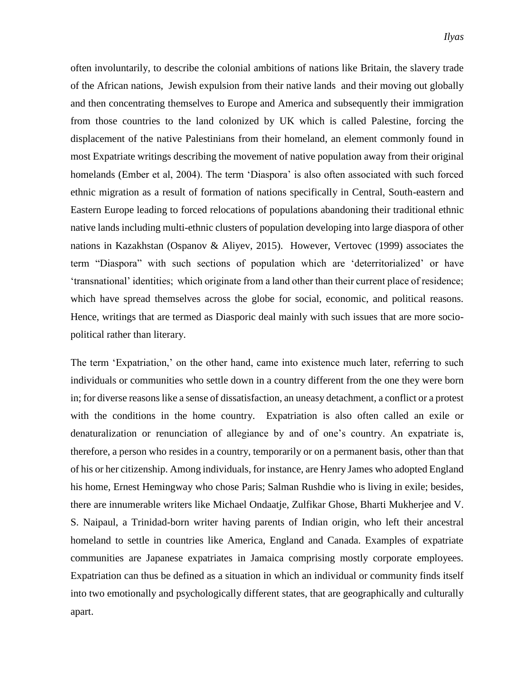often involuntarily, to describe the colonial ambitions of nations like Britain, the slavery trade of the African nations, Jewish expulsion from their native lands and their moving out globally and then concentrating themselves to Europe and America and subsequently their immigration from those countries to the land colonized by UK which is called Palestine, forcing the displacement of the native Palestinians from their homeland, an element commonly found in most Expatriate writings describing the movement of native population away from their original homelands (Ember et al, 2004). The term 'Diaspora' is also often associated with such forced ethnic migration as a result of formation of nations specifically in Central, South-eastern and Eastern Europe leading to forced relocations of populations abandoning their traditional ethnic native lands including multi-ethnic clusters of population developing into large diaspora of other nations in Kazakhstan (Ospanov & Aliyev, 2015). However, Vertovec (1999) associates the term "Diaspora" with such sections of population which are 'deterritorialized' or have 'transnational' identities; which originate from a land other than their current place of residence; which have spread themselves across the globe for social, economic, and political reasons. Hence, writings that are termed as Diasporic deal mainly with such issues that are more sociopolitical rather than literary.

The term 'Expatriation,' on the other hand, came into existence much later, referring to such individuals or communities who settle down in a country different from the one they were born in; for diverse reasons like a sense of dissatisfaction, an uneasy detachment, a conflict or a protest with the conditions in the home country. Expatriation is also often called an exile or denaturalization or renunciation of allegiance by and of one's country. An expatriate is, therefore, a person who resides in a country, temporarily or on a permanent basis, other than that of his or her citizenship. Among individuals, for instance, are Henry James who adopted England his home, Ernest Hemingway who chose Paris; Salman Rushdie who is living in exile; besides, there are innumerable writers like Michael Ondaatje, Zulfikar Ghose, Bharti Mukherjee and V. S. Naipaul, a Trinidad-born writer having parents of Indian origin, who left their ancestral homeland to settle in countries like America, England and Canada. Examples of expatriate communities are Japanese expatriates in Jamaica comprising mostly corporate employees. Expatriation can thus be defined as a situation in which an individual or community finds itself into two emotionally and psychologically different states, that are geographically and culturally apart.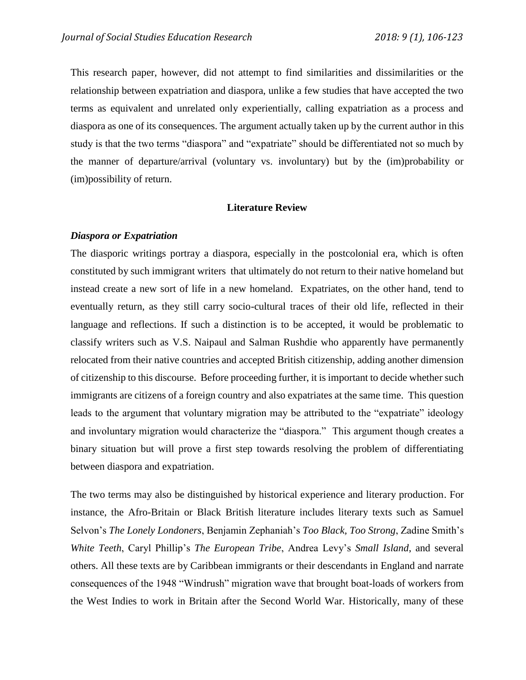This research paper, however, did not attempt to find similarities and dissimilarities or the relationship between expatriation and diaspora, unlike a few studies that have accepted the two terms as equivalent and unrelated only experientially, calling expatriation as a process and diaspora as one of its consequences. The argument actually taken up by the current author in this study is that the two terms "diaspora" and "expatriate" should be differentiated not so much by the manner of departure/arrival (voluntary vs. involuntary) but by the (im)probability or (im)possibility of return.

#### **Literature Review**

#### *Diaspora or Expatriation*

The diasporic writings portray a diaspora, especially in the postcolonial era, which is often constituted by such immigrant writers that ultimately do not return to their native homeland but instead create a new sort of life in a new homeland. Expatriates, on the other hand, tend to eventually return, as they still carry socio-cultural traces of their old life, reflected in their language and reflections. If such a distinction is to be accepted, it would be problematic to classify writers such as V.S. Naipaul and Salman Rushdie who apparently have permanently relocated from their native countries and accepted British citizenship, adding another dimension of citizenship to this discourse. Before proceeding further, it is important to decide whether such immigrants are citizens of a foreign country and also expatriates at the same time. This question leads to the argument that voluntary migration may be attributed to the "expatriate" ideology and involuntary migration would characterize the "diaspora." This argument though creates a binary situation but will prove a first step towards resolving the problem of differentiating between diaspora and expatriation.

The two terms may also be distinguished by historical experience and literary production. For instance, the Afro-Britain or Black British literature includes literary texts such as Samuel Selvon's *The Lonely Londoners*, Benjamin Zephaniah's *Too Black, Too Strong*, Zadine Smith's *White Teeth*, Caryl Phillip's *The European Tribe*, Andrea Levy's *Small Island*, and several others. All these texts are by Caribbean immigrants or their descendants in England and narrate consequences of the 1948 "Windrush" migration wave that brought boat-loads of workers from the West Indies to work in Britain after the Second World War. Historically, many of these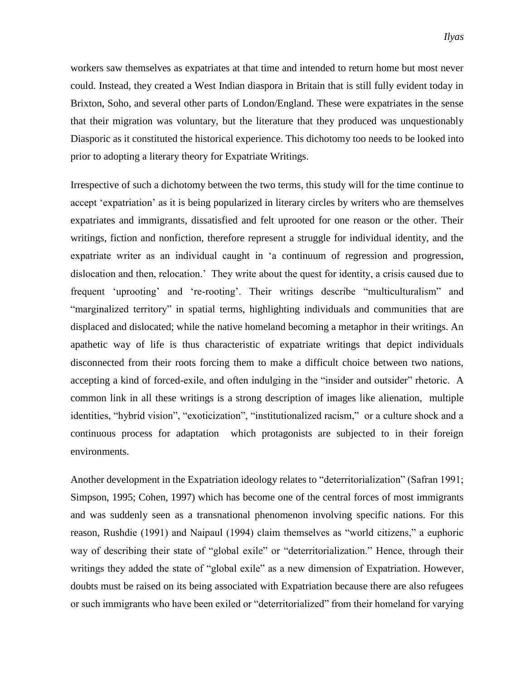workers saw themselves as expatriates at that time and intended to return home but most never could. Instead, they created a West Indian diaspora in Britain that is still fully evident today in Brixton, Soho, and several other parts of London/England. These were expatriates in the sense that their migration was voluntary, but the literature that they produced was unquestionably Diasporic as it constituted the historical experience. This dichotomy too needs to be looked into prior to adopting a literary theory for Expatriate Writings.

Irrespective of such a dichotomy between the two terms, this study will for the time continue to accept 'expatriation' as it is being popularized in literary circles by writers who are themselves expatriates and immigrants, dissatisfied and felt uprooted for one reason or the other. Their writings, fiction and nonfiction, therefore represent a struggle for individual identity, and the expatriate writer as an individual caught in 'a continuum of regression and progression, dislocation and then, relocation.' They write about the quest for identity, a crisis caused due to frequent 'uprooting' and 're-rooting'. Their writings describe "multiculturalism" and "marginalized territory" in spatial terms, highlighting individuals and communities that are displaced and dislocated; while the native homeland becoming a metaphor in their writings. An apathetic way of life is thus characteristic of expatriate writings that depict individuals disconnected from their roots forcing them to make a difficult choice between two nations, accepting a kind of forced-exile, and often indulging in the "insider and outsider" rhetoric. A common link in all these writings is a strong description of images like alienation, multiple identities, "hybrid vision", "exoticization", "institutionalized racism," or a culture shock and a continuous process for adaptation which protagonists are subjected to in their foreign environments.

Another development in the Expatriation ideology relates to "deterritorialization" (Safran 1991; Simpson, 1995; Cohen, 1997) which has become one of the central forces of most immigrants and was suddenly seen as a transnational phenomenon involving specific nations. For this reason, Rushdie (1991) and Naipaul (1994) claim themselves as "world citizens," a euphoric way of describing their state of "global exile" or "deterritorialization." Hence, through their writings they added the state of "global exile" as a new dimension of Expatriation. However, doubts must be raised on its being associated with Expatriation because there are also refugees or such immigrants who have been exiled or "deterritorialized" from their homeland for varying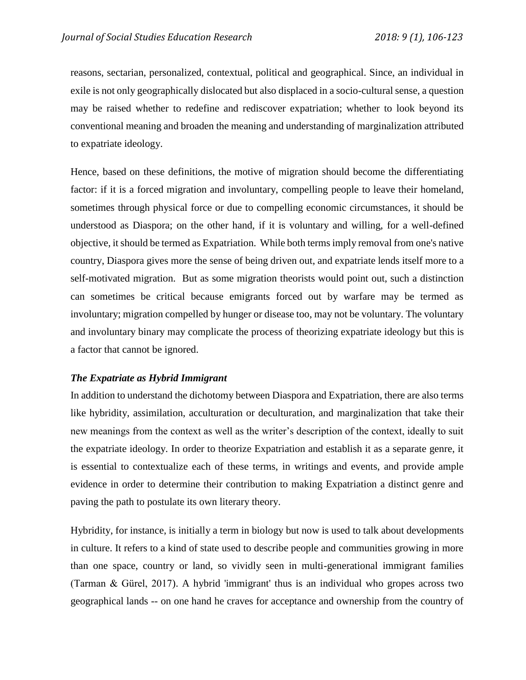reasons, sectarian, personalized, contextual, political and geographical. Since, an individual in exile is not only geographically dislocated but also displaced in a socio-cultural sense, a question may be raised whether to redefine and rediscover expatriation; whether to look beyond its conventional meaning and broaden the meaning and understanding of marginalization attributed to expatriate ideology.

Hence, based on these definitions, the motive of migration should become the differentiating factor: if it is a forced migration and involuntary, compelling people to leave their homeland, sometimes through physical force or due to compelling economic circumstances, it should be understood as Diaspora; on the other hand, if it is voluntary and willing, for a well-defined objective, it should be termed as Expatriation. While both terms imply removal from one's native country, Diaspora gives more the sense of being driven out, and expatriate lends itself more to a self-motivated migration. But as some migration theorists would point out, such a distinction can sometimes be critical because emigrants forced out by warfare may be termed as involuntary; migration compelled by hunger or disease too, may not be voluntary. The voluntary and involuntary binary may complicate the process of theorizing expatriate ideology but this is a factor that cannot be ignored.

# *The Expatriate as Hybrid Immigrant*

In addition to understand the dichotomy between Diaspora and Expatriation, there are also terms like hybridity, assimilation, acculturation or deculturation, and marginalization that take their new meanings from the context as well as the writer's description of the context, ideally to suit the expatriate ideology. In order to theorize Expatriation and establish it as a separate genre, it is essential to contextualize each of these terms, in writings and events, and provide ample evidence in order to determine their contribution to making Expatriation a distinct genre and paving the path to postulate its own literary theory.

Hybridity, for instance, is initially a term in biology but now is used to talk about developments in culture. It refers to a kind of state used to describe people and communities growing in more than one space, country or land, so vividly seen in multi-generational immigrant families (Tarman & Gürel, 2017). A hybrid 'immigrant' thus is an individual who gropes across two geographical lands -- on one hand he craves for acceptance and ownership from the country of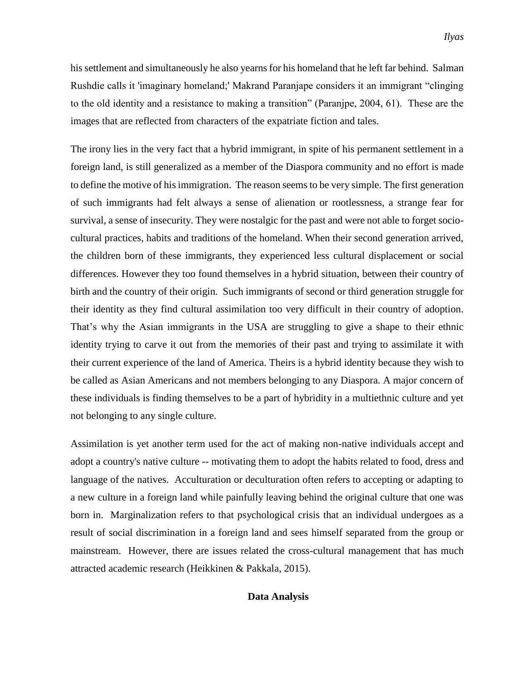his settlement and simultaneously he also yearns for his homeland that he left far behind. Salman Rushdie calls it 'imaginary homeland;' Makrand Paranjape considers it an immigrant "clinging to the old identity and a resistance to making a transition" (Paranjpe, 2004, 61). These are the images that are reflected from characters of the expatriate fiction and tales.

The irony lies in the very fact that a hybrid immigrant, in spite of his permanent settlement in a foreign land, is still generalized as a member of the Diaspora community and no effort is made to define the motive of his immigration. The reason seems to be very simple. The first generation of such immigrants had felt always a sense of alienation or rootlessness, a strange fear for survival, a sense of insecurity. They were nostalgic for the past and were not able to forget sociocultural practices, habits and traditions of the homeland. When their second generation arrived, the children born of these immigrants, they experienced less cultural displacement or social differences. However they too found themselves in a hybrid situation, between their country of birth and the country of their origin. Such immigrants of second or third generation struggle for their identity as they find cultural assimilation too very difficult in their country of adoption. That's why the Asian immigrants in the USA are struggling to give a shape to their ethnic identity trying to carve it out from the memories of their past and trying to assimilate it with their current experience of the land of America. Theirs is a hybrid identity because they wish to be called as Asian Americans and not members belonging to any Diaspora. A major concern of these individuals is finding themselves to be a part of hybridity in a multiethnic culture and yet not belonging to any single culture.

Assimilation is yet another term used for the act of making non-native individuals accept and adopt a country's native culture -- motivating them to adopt the habits related to food, dress and language of the natives. Acculturation or deculturation often refers to accepting or adapting to a new culture in a foreign land while painfully leaving behind the original culture that one was born in. Marginalization refers to that psychological crisis that an individual undergoes as a result of social discrimination in a foreign land and sees himself separated from the group or mainstream. However, there are issues related the cross-cultural management that has much attracted academic research (Heikkinen & Pakkala, 2015).

### **Data Analysis**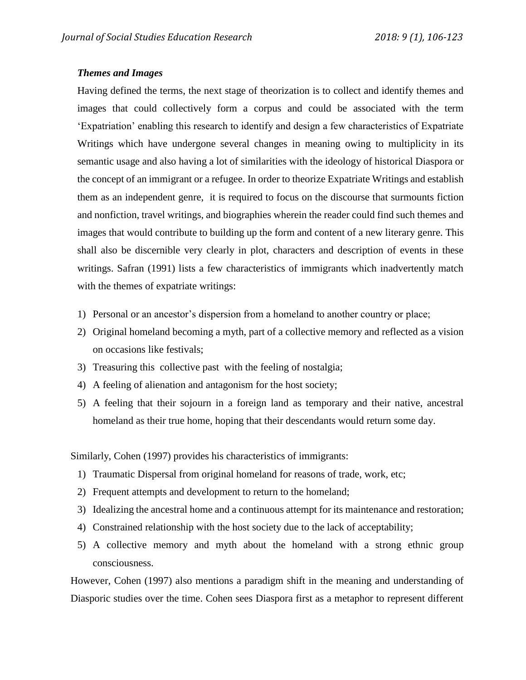# *Themes and Images*

Having defined the terms, the next stage of theorization is to collect and identify themes and images that could collectively form a corpus and could be associated with the term 'Expatriation' enabling this research to identify and design a few characteristics of Expatriate Writings which have undergone several changes in meaning owing to multiplicity in its semantic usage and also having a lot of similarities with the ideology of historical Diaspora or the concept of an immigrant or a refugee. In order to theorize Expatriate Writings and establish them as an independent genre, it is required to focus on the discourse that surmounts fiction and nonfiction, travel writings, and biographies wherein the reader could find such themes and images that would contribute to building up the form and content of a new literary genre. This shall also be discernible very clearly in plot, characters and description of events in these writings. Safran (1991) lists a few characteristics of immigrants which inadvertently match with the themes of expatriate writings:

- 1) Personal or an ancestor's dispersion from a homeland to another country or place;
- 2) Original homeland becoming a myth, part of a collective memory and reflected as a vision on occasions like festivals;
- 3) Treasuring this collective past with the feeling of nostalgia;
- 4) A feeling of alienation and antagonism for the host society;
- 5) A feeling that their sojourn in a foreign land as temporary and their native, ancestral homeland as their true home, hoping that their descendants would return some day.

Similarly, Cohen (1997) provides his characteristics of immigrants:

- 1) Traumatic Dispersal from original homeland for reasons of trade, work, etc;
- 2) Frequent attempts and development to return to the homeland;
- 3) Idealizing the ancestral home and a continuous attempt for its maintenance and restoration;
- 4) Constrained relationship with the host society due to the lack of acceptability;
- 5) A collective memory and myth about the homeland with a strong ethnic group consciousness.

However, Cohen (1997) also mentions a paradigm shift in the meaning and understanding of Diasporic studies over the time. Cohen sees Diaspora first as a metaphor to represent different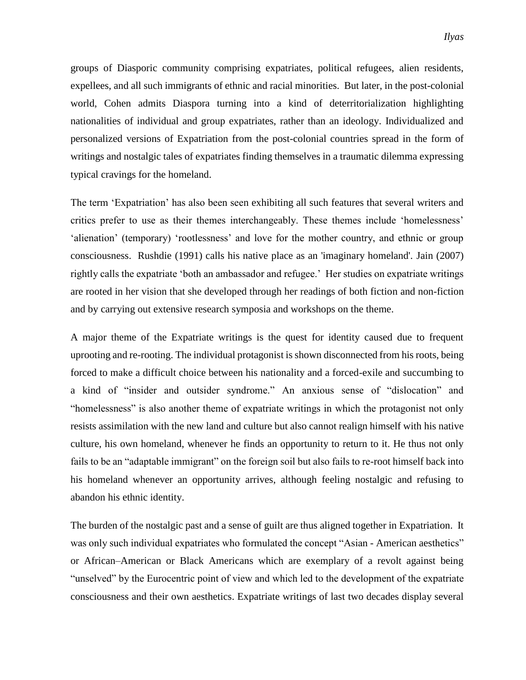groups of Diasporic community comprising expatriates, political refugees, alien residents, expellees, and all such immigrants of ethnic and racial minorities. But later, in the post-colonial world, Cohen admits Diaspora turning into a kind of deterritorialization highlighting nationalities of individual and group expatriates, rather than an ideology. Individualized and personalized versions of Expatriation from the post-colonial countries spread in the form of writings and nostalgic tales of expatriates finding themselves in a traumatic dilemma expressing typical cravings for the homeland.

The term 'Expatriation' has also been seen exhibiting all such features that several writers and critics prefer to use as their themes interchangeably. These themes include 'homelessness' 'alienation' (temporary) 'rootlessness' and love for the mother country, and ethnic or group consciousness. Rushdie (1991) calls his native place as an 'imaginary homeland'. Jain (2007) rightly calls the expatriate 'both an ambassador and refugee.' Her studies on expatriate writings are rooted in her vision that she developed through her readings of both fiction and non-fiction and by carrying out extensive research symposia and workshops on the theme.

A major theme of the Expatriate writings is the quest for identity caused due to frequent uprooting and re-rooting. The individual protagonist is shown disconnected from his roots, being forced to make a difficult choice between his nationality and a forced-exile and succumbing to a kind of "insider and outsider syndrome." An anxious sense of "dislocation" and "homelessness" is also another theme of expatriate writings in which the protagonist not only resists assimilation with the new land and culture but also cannot realign himself with his native culture, his own homeland, whenever he finds an opportunity to return to it. He thus not only fails to be an "adaptable immigrant" on the foreign soil but also fails to re-root himself back into his homeland whenever an opportunity arrives, although feeling nostalgic and refusing to abandon his ethnic identity.

The burden of the nostalgic past and a sense of guilt are thus aligned together in Expatriation. It was only such individual expatriates who formulated the concept "Asian - American aesthetics" or African–American or Black Americans which are exemplary of a revolt against being "unselved" by the Eurocentric point of view and which led to the development of the expatriate consciousness and their own aesthetics. Expatriate writings of last two decades display several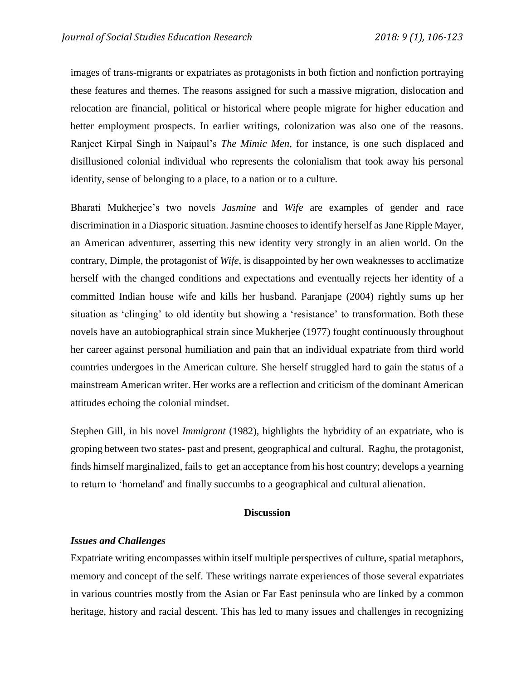images of trans-migrants or expatriates as protagonists in both fiction and nonfiction portraying these features and themes. The reasons assigned for such a massive migration, dislocation and relocation are financial, political or historical where people migrate for higher education and better employment prospects. In earlier writings, colonization was also one of the reasons. Ranjeet Kirpal Singh in Naipaul's *The Mimic Men*, for instance, is one such displaced and disillusioned colonial individual who represents the colonialism that took away his personal identity, sense of belonging to a place, to a nation or to a culture.

Bharati Mukherjee's two novels *Jasmine* and *Wife* are examples of gender and race discrimination in a Diasporic situation. Jasmine chooses to identify herself as Jane Ripple Mayer, an American adventurer, asserting this new identity very strongly in an alien world. On the contrary, Dimple, the protagonist of *Wife*, is disappointed by her own weaknesses to acclimatize herself with the changed conditions and expectations and eventually rejects her identity of a committed Indian house wife and kills her husband. Paranjape (2004) rightly sums up her situation as 'clinging' to old identity but showing a 'resistance' to transformation. Both these novels have an autobiographical strain since Mukherjee (1977) fought continuously throughout her career against personal humiliation and pain that an individual expatriate from third world countries undergoes in the American culture. She herself struggled hard to gain the status of a mainstream American writer. Her works are a reflection and criticism of the dominant American attitudes echoing the colonial mindset.

Stephen Gill, in his novel *Immigrant* (1982), highlights the hybridity of an expatriate, who is groping between two states- past and present, geographical and cultural. Raghu, the protagonist, finds himself marginalized, fails to get an acceptance from his host country; develops a yearning to return to 'homeland' and finally succumbs to a geographical and cultural alienation.

# **Discussion**

#### *Issues and Challenges*

Expatriate writing encompasses within itself multiple perspectives of culture, spatial metaphors, memory and concept of the self. These writings narrate experiences of those several expatriates in various countries mostly from the Asian or Far East peninsula who are linked by a common heritage, history and racial descent. This has led to many issues and challenges in recognizing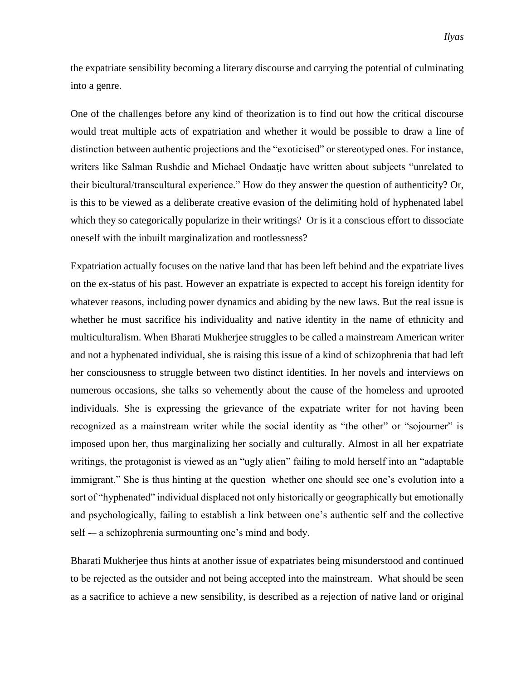the expatriate sensibility becoming a literary discourse and carrying the potential of culminating into a genre.

One of the challenges before any kind of theorization is to find out how the critical discourse would treat multiple acts of expatriation and whether it would be possible to draw a line of distinction between authentic projections and the "exoticised" or stereotyped ones. For instance, writers like Salman Rushdie and Michael Ondaatje have written about subjects "unrelated to their bicultural/transcultural experience." How do they answer the question of authenticity? Or, is this to be viewed as a deliberate creative evasion of the delimiting hold of hyphenated label which they so categorically popularize in their writings? Or is it a conscious effort to dissociate oneself with the inbuilt marginalization and rootlessness?

Expatriation actually focuses on the native land that has been left behind and the expatriate lives on the ex-status of his past. However an expatriate is expected to accept his foreign identity for whatever reasons, including power dynamics and abiding by the new laws. But the real issue is whether he must sacrifice his individuality and native identity in the name of ethnicity and multiculturalism. When Bharati Mukherjee struggles to be called a mainstream American writer and not a hyphenated individual, she is raising this issue of a kind of schizophrenia that had left her consciousness to struggle between two distinct identities. In her novels and interviews on numerous occasions, she talks so vehemently about the cause of the homeless and uprooted individuals. She is expressing the grievance of the expatriate writer for not having been recognized as a mainstream writer while the social identity as "the other" or "sojourner" is imposed upon her, thus marginalizing her socially and culturally. Almost in all her expatriate writings, the protagonist is viewed as an "ugly alien" failing to mold herself into an "adaptable immigrant." She is thus hinting at the question whether one should see one's evolution into a sort of "hyphenated" individual displaced not only historically or geographically but emotionally and psychologically, failing to establish a link between one's authentic self and the collective self -– a schizophrenia surmounting one's mind and body.

Bharati Mukherjee thus hints at another issue of expatriates being misunderstood and continued to be rejected as the outsider and not being accepted into the mainstream. What should be seen as a sacrifice to achieve a new sensibility, is described as a rejection of native land or original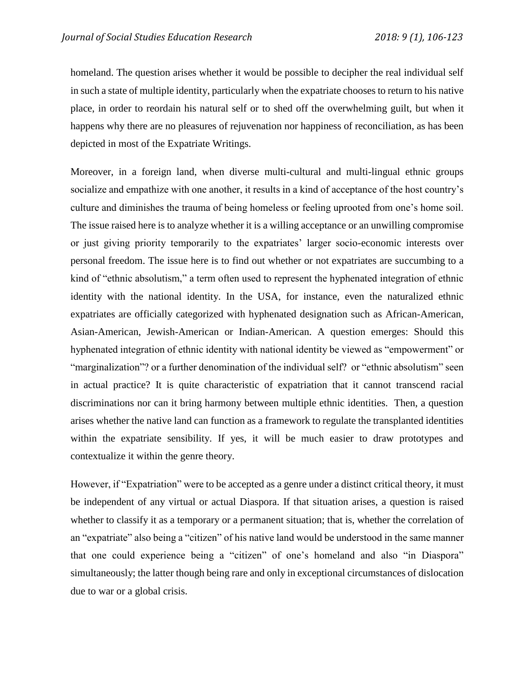homeland. The question arises whether it would be possible to decipher the real individual self in such a state of multiple identity, particularly when the expatriate chooses to return to his native place, in order to reordain his natural self or to shed off the overwhelming guilt, but when it happens why there are no pleasures of rejuvenation nor happiness of reconciliation, as has been depicted in most of the Expatriate Writings.

Moreover, in a foreign land, when diverse multi-cultural and multi-lingual ethnic groups socialize and empathize with one another, it results in a kind of acceptance of the host country's culture and diminishes the trauma of being homeless or feeling uprooted from one's home soil. The issue raised here is to analyze whether it is a willing acceptance or an unwilling compromise or just giving priority temporarily to the expatriates' larger socio-economic interests over personal freedom. The issue here is to find out whether or not expatriates are succumbing to a kind of "ethnic absolutism," a term often used to represent the hyphenated integration of ethnic identity with the national identity. In the USA, for instance, even the naturalized ethnic expatriates are officially categorized with hyphenated designation such as African-American, Asian-American, Jewish-American or Indian-American. A question emerges: Should this hyphenated integration of ethnic identity with national identity be viewed as "empowerment" or "marginalization"? or a further denomination of the individual self? or "ethnic absolutism" seen in actual practice? It is quite characteristic of expatriation that it cannot transcend racial discriminations nor can it bring harmony between multiple ethnic identities. Then, a question arises whether the native land can function as a framework to regulate the transplanted identities within the expatriate sensibility. If yes, it will be much easier to draw prototypes and contextualize it within the genre theory.

However, if "Expatriation" were to be accepted as a genre under a distinct critical theory, it must be independent of any virtual or actual Diaspora. If that situation arises, a question is raised whether to classify it as a temporary or a permanent situation; that is, whether the correlation of an "expatriate" also being a "citizen" of his native land would be understood in the same manner that one could experience being a "citizen" of one's homeland and also "in Diaspora" simultaneously; the latter though being rare and only in exceptional circumstances of dislocation due to war or a global crisis.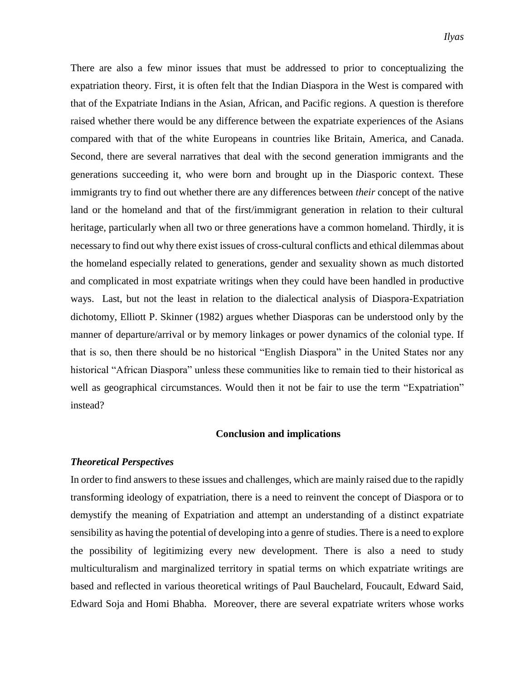There are also a few minor issues that must be addressed to prior to conceptualizing the expatriation theory. First, it is often felt that the Indian Diaspora in the West is compared with that of the Expatriate Indians in the Asian, African, and Pacific regions. A question is therefore raised whether there would be any difference between the expatriate experiences of the Asians compared with that of the white Europeans in countries like Britain, America, and Canada. Second, there are several narratives that deal with the second generation immigrants and the generations succeeding it, who were born and brought up in the Diasporic context. These immigrants try to find out whether there are any differences between *their* concept of the native land or the homeland and that of the first/immigrant generation in relation to their cultural heritage, particularly when all two or three generations have a common homeland. Thirdly, it is necessary to find out why there exist issues of cross-cultural conflicts and ethical dilemmas about the homeland especially related to generations, gender and sexuality shown as much distorted and complicated in most expatriate writings when they could have been handled in productive ways. Last, but not the least in relation to the dialectical analysis of Diaspora-Expatriation dichotomy, Elliott P. Skinner (1982) argues whether Diasporas can be understood only by the manner of departure/arrival or by memory linkages or power dynamics of the colonial type. If that is so, then there should be no historical "English Diaspora" in the United States nor any historical "African Diaspora" unless these communities like to remain tied to their historical as well as geographical circumstances. Would then it not be fair to use the term "Expatriation" instead?

#### **Conclusion and implications**

#### *Theoretical Perspectives*

In order to find answers to these issues and challenges, which are mainly raised due to the rapidly transforming ideology of expatriation, there is a need to reinvent the concept of Diaspora or to demystify the meaning of Expatriation and attempt an understanding of a distinct expatriate sensibility as having the potential of developing into a genre of studies. There is a need to explore the possibility of legitimizing every new development. There is also a need to study multiculturalism and marginalized territory in spatial terms on which expatriate writings are based and reflected in various theoretical writings of Paul Bauchelard, Foucault, Edward Said, Edward Soja and Homi Bhabha. Moreover, there are several expatriate writers whose works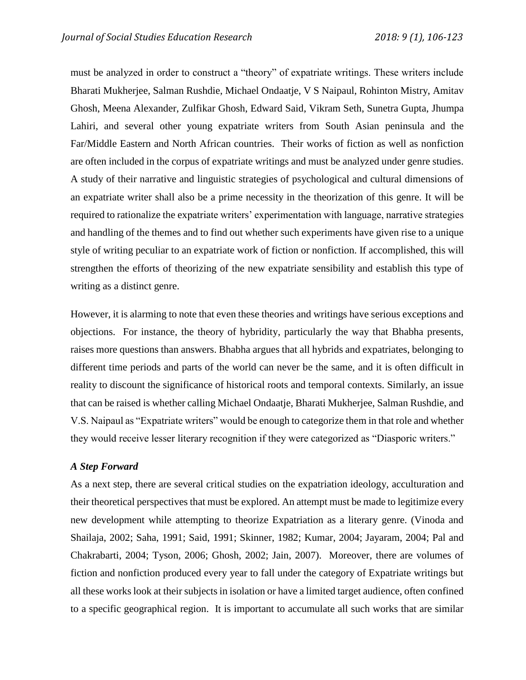must be analyzed in order to construct a "theory" of expatriate writings. These writers include Bharati Mukherjee, Salman Rushdie, Michael Ondaatje, V S Naipaul, Rohinton Mistry, Amitav Ghosh, Meena Alexander, Zulfikar Ghosh, Edward Said, Vikram Seth, Sunetra Gupta, Jhumpa Lahiri, and several other young expatriate writers from South Asian peninsula and the Far/Middle Eastern and North African countries. Their works of fiction as well as nonfiction are often included in the corpus of expatriate writings and must be analyzed under genre studies. A study of their narrative and linguistic strategies of psychological and cultural dimensions of an expatriate writer shall also be a prime necessity in the theorization of this genre. It will be required to rationalize the expatriate writers' experimentation with language, narrative strategies and handling of the themes and to find out whether such experiments have given rise to a unique style of writing peculiar to an expatriate work of fiction or nonfiction. If accomplished, this will strengthen the efforts of theorizing of the new expatriate sensibility and establish this type of writing as a distinct genre.

However, it is alarming to note that even these theories and writings have serious exceptions and objections. For instance, the theory of hybridity, particularly the way that Bhabha presents, raises more questions than answers. Bhabha argues that all hybrids and expatriates, belonging to different time periods and parts of the world can never be the same, and it is often difficult in reality to discount the significance of historical roots and temporal contexts. Similarly, an issue that can be raised is whether calling Michael Ondaatje, Bharati Mukherjee, Salman Rushdie, and V.S. Naipaul as "Expatriate writers" would be enough to categorize them in that role and whether they would receive lesser literary recognition if they were categorized as "Diasporic writers."

# *A Step Forward*

As a next step, there are several critical studies on the expatriation ideology, acculturation and their theoretical perspectives that must be explored. An attempt must be made to legitimize every new development while attempting to theorize Expatriation as a literary genre. (Vinoda and Shailaja, 2002; Saha, 1991; Said, 1991; Skinner, 1982; Kumar, 2004; Jayaram, 2004; Pal and Chakrabarti, 2004; Tyson, 2006; Ghosh, 2002; Jain, 2007). Moreover, there are volumes of fiction and nonfiction produced every year to fall under the category of Expatriate writings but all these works look at their subjects in isolation or have a limited target audience, often confined to a specific geographical region. It is important to accumulate all such works that are similar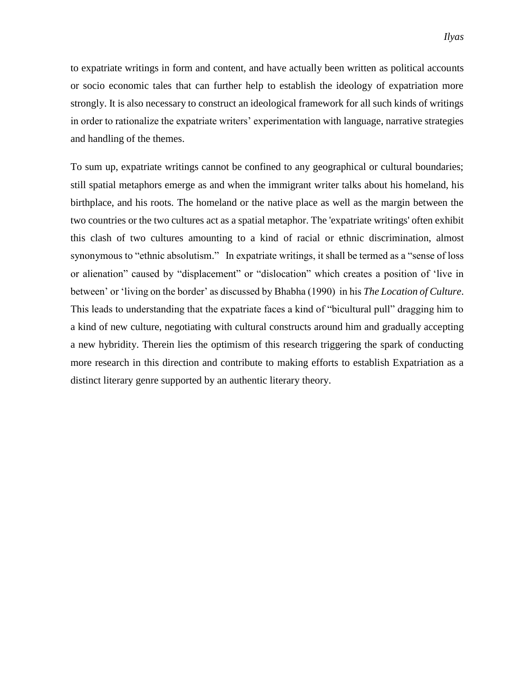to expatriate writings in form and content, and have actually been written as political accounts or socio economic tales that can further help to establish the ideology of expatriation more strongly. It is also necessary to construct an ideological framework for all such kinds of writings in order to rationalize the expatriate writers' experimentation with language, narrative strategies and handling of the themes.

To sum up, expatriate writings cannot be confined to any geographical or cultural boundaries; still spatial metaphors emerge as and when the immigrant writer talks about his homeland, his birthplace, and his roots. The homeland or the native place as well as the margin between the two countries or the two cultures act as a spatial metaphor. The 'expatriate writings' often exhibit this clash of two cultures amounting to a kind of racial or ethnic discrimination, almost synonymous to "ethnic absolutism." In expatriate writings, it shall be termed as a "sense of loss or alienation" caused by "displacement" or "dislocation" which creates a position of 'live in between' or 'living on the border' as discussed by Bhabha (1990) in his *The Location of Culture*. This leads to understanding that the expatriate faces a kind of "bicultural pull" dragging him to a kind of new culture, negotiating with cultural constructs around him and gradually accepting a new hybridity. Therein lies the optimism of this research triggering the spark of conducting more research in this direction and contribute to making efforts to establish Expatriation as a distinct literary genre supported by an authentic literary theory.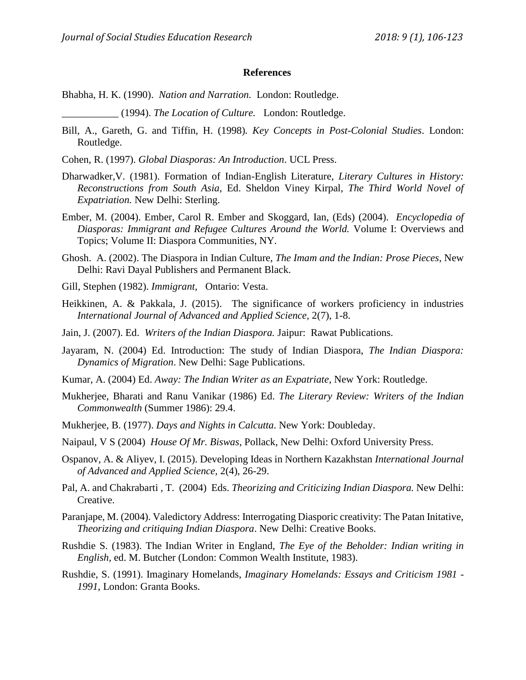#### **References**

- Bhabha, H. K. (1990). *Nation and Narration.* London: Routledge.
	- \_\_\_\_\_\_\_\_\_\_\_ (1994). *The Location of Culture.* London: Routledge.
- Bill, A., Gareth, G. and Tiffin, H. (1998)*. Key Concepts in Post-Colonial Studies*. London: Routledge.
- Cohen, R. (1997). *Global Diasporas: An Introduction*. UCL Press.
- Dharwadker,V. (1981). Formation of Indian-English Literature, *Literary Cultures in History: Reconstructions from South Asia*, Ed. Sheldon Viney Kirpal, *The Third World Novel of Expatriation.* New Delhi: Sterling.
- Ember, M. (2004). Ember, Carol R. Ember and Skoggard, Ian, (Eds) (2004). *Encyclopedia of Diasporas: Immigrant and Refugee Cultures Around the World.* Volume I: Overviews and Topics; Volume II: Diaspora Communities, NY.
- Ghosh. A. (2002). The Diaspora in Indian Culture, *The Imam and the Indian: Prose Pieces*, New Delhi: Ravi Dayal Publishers and Permanent Black.
- Gill, Stephen (1982). *Immigrant,* Ontario: Vesta.
- Heikkinen, A. & Pakkala, J. (2015). The significance of workers proficiency in industries *International Journal of Advanced and Applied Science,* 2(7), 1-8.
- Jain, J. (2007). Ed. *Writers of the Indian Diaspora.* Jaipur: Rawat Publications.
- Jayaram, N. (2004) Ed. Introduction: The study of Indian Diaspora, *The Indian Diaspora: Dynamics of Migration*. New Delhi: Sage Publications.
- Kumar, A. (2004) Ed. *Away: The Indian Writer as an Expatriate*, New York: Routledge.
- Mukherjee, Bharati and Ranu Vanikar (1986) Ed. *The Literary Review: Writers of the Indian Commonwealth* (Summer 1986): 29.4.
- Mukherjee, B. (1977). *Days and Nights in Calcutta*. New York: Doubleday.
- Naipaul, V S (2004) *House Of Mr. Biswas*, Pollack, New Delhi: Oxford University Press.
- Ospanov, A. & Aliyev, I. (2015). Developing Ideas in Northern Kazakhstan *International Journal of Advanced and Applied Science,* 2(4), 26-29.
- Pal, A. and Chakrabarti , T. (2004) Eds. *Theorizing and Criticizing Indian Diaspora.* New Delhi: Creative.
- Paranjape, M. (2004). Valedictory Address: Interrogating Diasporic creativity: The Patan Initative, *Theorizing and critiquing Indian Diaspora*. New Delhi: Creative Books.
- Rushdie S. (1983). The Indian Writer in England, *The Eye of the Beholder: Indian writing in English*, ed. M. Butcher (London: Common Wealth Institute, 1983).
- Rushdie, S. (1991). Imaginary Homelands, *Imaginary Homelands: Essays and Criticism 1981 - 1991*, London: Granta Books.